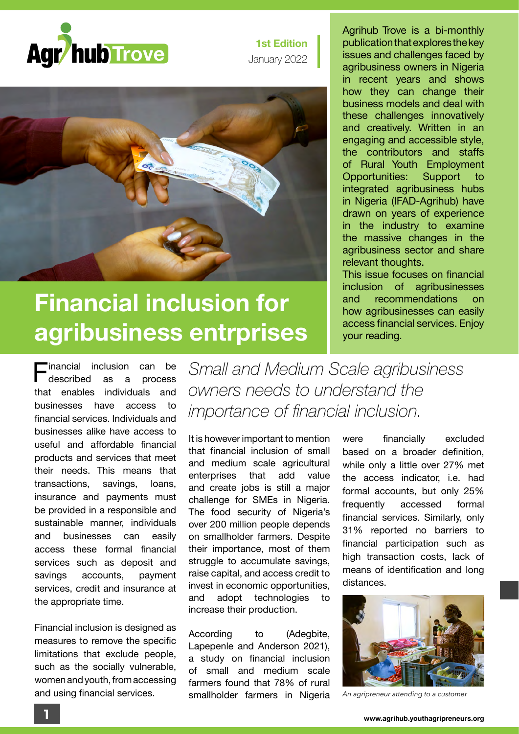

**1st Edition** January 2022



## **Financial inclusion for agribusiness entrprises**

**Financial inclusion can be**<br>Rescribed as a process described that enables individuals and businesses have access to financial services. Individuals and businesses alike have access to useful and affordable financial products and services that meet their needs. This means that transactions, savings, loans, insurance and payments must be provided in a responsible and sustainable manner, individuals and businesses can easily access these formal financial services such as deposit and savings accounts, payment services, credit and insurance at the appropriate time.

Financial inclusion is designed as measures to remove the specific limitations that exclude people, such as the socially vulnerable, women and youth, from accessing and using financial services.

Agrihub Trove is a bi-monthly publication that explores the key issues and challenges faced by agribusiness owners in Nigeria in recent years and shows how they can change their business models and deal with these challenges innovatively and creatively. Written in an engaging and accessible style, the contributors and staffs of Rural Youth Employment Opportunities: Support to integrated agribusiness hubs in Nigeria (IFAD-Agrihub) have drawn on years of experience in the industry to examine the massive changes in the agribusiness sector and share relevant thoughts.

This issue focuses on financial inclusion of agribusinesses and recommendations on how agribusinesses can easily access financial services. Enjoy your reading.

*Small and Medium Scale agribusiness owners needs to understand the importance of financial inclusion.* 

It is however important to mention that financial inclusion of small and medium scale agricultural enterprises that add value and create jobs is still a major challenge for SMEs in Nigeria. The food security of Nigeria's over 200 million people depends on smallholder farmers. Despite their importance, most of them struggle to accumulate savings, raise capital, and access credit to invest in economic opportunities, and adopt technologies to increase their production.

According to (Adegbite, Lapepenle and Anderson 2021), a study on financial inclusion of small and medium scale farmers found that 78% of rural smallholder farmers in Nigeria

were financially excluded based on a broader definition, while only a little over 27% met the access indicator, i.e. had formal accounts, but only 25% frequently accessed formal financial services. Similarly, only 31% reported no barriers to financial participation such as high transaction costs, lack of means of identification and long distances.



*An agripreneur attending to a customer*